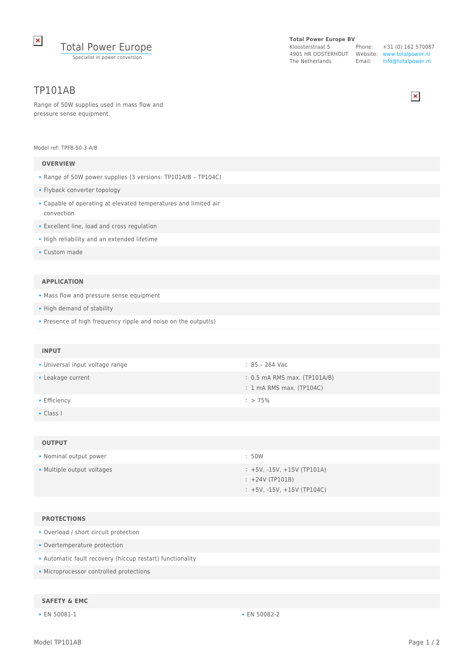

### **Total Power Europe BV**

Kloosterstraat 5 4901 HR OOSTERHOUT Website: www.totalpower.nl The Netherlands Email:

Phone: +31 (0) 162 570087 info@totalpower.nl



# TP101AB

Range of 50W supplies used in mass flow and pressure sense equipment.

#### Model ref: TPFB-50-3-A/B

### **OVERVIEW**

- Range of 50W power supplies (3 versions: TP101A/B TP104C)
- Flyback converter topology
- Capable of operating at elevated temperatures and limited air convection
- Excellent line, load and cross regulation
- High reliability and an extended lifetime
- Custom made

#### **APPLICATION**

- Mass flow and pressure sense equipment
- High demand of stability
- Presence of high frequency ripple and noise on the output(s)

#### **INPUT**

- Universal input voltage range  $\overline{\phantom{a}}$  : 85 264 Vac
- Leakage current : 0.5 mA RMS max. (TP101A/B)
- Efficiency : > 75%
- Class I

#### **OUTPUT**

| • Nominal output power     | : 50W                                                |
|----------------------------|------------------------------------------------------|
| • Multiple output voltages | $\div$ +5V. -15V. +15V (TP101A)<br>$: +24V (TP101B)$ |
|                            | $: +5V, -15V, +15V$ (TP104C)                         |

#### **PROTECTIONS**

- Overload / short circuit protection
- Overtemperature protection
- Automatic fault recovery (hiccup restart) functionality
- Microprocessor controlled protections

### **SAFETY & EMC**

• EN 50081-1 • EN 50082-2

: 1 mA RMS max. (TP104C)